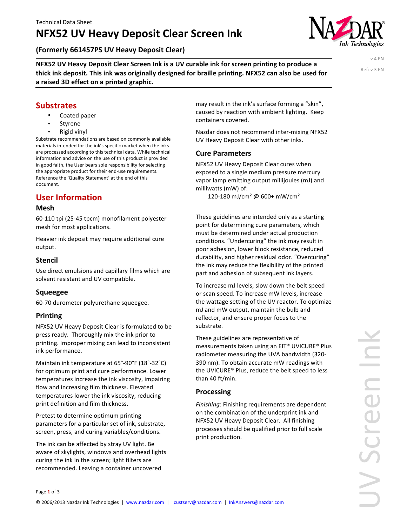# **NFX52 UV Heavy Deposit Clear Screen Ink**

**(Formerly 661457PS UV Heavy Deposit Clear)**

**NFX52 UV Heavy Deposit Clear Screen Ink is a UV curable ink for screen printing to produce a** thick ink deposit. This ink was originally designed for braille printing. NFX52 can also be used for a raised 3D effect on a printed graphic.

v 4 EN Ref: v 3 EN

## **Substrates**

- Coated paper
- **Styrene**
- **Rigid** vinyl

Substrate recommendations are based on commonly available materials intended for the ink's specific market when the inks are processed according to this technical data. While technical information and advice on the use of this product is provided in good faith, the User bears sole responsibility for selecting the appropriate product for their end-use requirements. Reference the 'Quality Statement' at the end of this document. 

## **User Information**

#### **Mesh**

60-110 tpi (25-45 tpcm) monofilament polyester mesh for most applications.

Heavier ink deposit may require additional cure output.

## **Stencil**

Use direct emulsions and capillary films which are solvent resistant and UV compatible.

## **Squeegee**

60-70 durometer polyurethane squeegee.

## **Printing**

NFX52 UV Heavy Deposit Clear is formulated to be press ready. Thoroughly mix the ink prior to printing. Improper mixing can lead to inconsistent ink performance.

Maintain ink temperature at 65°-90°F (18°-32°C) for optimum print and cure performance. Lower temperatures increase the ink viscosity, impairing flow and increasing film thickness. Elevated temperatures lower the ink viscosity, reducing print definition and film thickness.

Pretest to determine optimum printing parameters for a particular set of ink, substrate, screen, press, and curing variables/conditions.

The ink can be affected by stray UV light. Be aware of skylights, windows and overhead lights curing the ink in the screen; light filters are recommended. Leaving a container uncovered

may result in the ink's surface forming a "skin", caused by reaction with ambient lighting. Keep containers covered.

Nazdar does not recommend inter-mixing NFX52 UV Heavy Deposit Clear with other inks.

### **Cure Parameters**

NFX52 UV Heavy Deposit Clear cures when exposed to a single medium pressure mercury vapor lamp emitting output millijoules (mJ) and milliwatts (mW) of:

120-180 mJ/cm<sup>2</sup> @ 600+ mW/cm<sup>2</sup>

These guidelines are intended only as a starting point for determining cure parameters, which must be determined under actual production conditions. "Undercuring" the ink may result in poor adhesion, lower block resistance, reduced durability, and higher residual odor. "Overcuring" the ink may reduce the flexibility of the printed part and adhesion of subsequent ink layers.

To increase mJ levels, slow down the belt speed or scan speed. To increase mW levels, increase the wattage setting of the UV reactor. To optimize mJ and mW output, maintain the bulb and reflector, and ensure proper focus to the substrate. 

These guidelines are representative of measurements taken using an EIT® UVICURE® Plus radiometer measuring the UVA bandwidth (320-390 nm). To obtain accurate mW readings with the UVICURE® Plus, reduce the belt speed to less than 40 ft/min.

### **Processing**

Finishing: Finishing requirements are dependent on the combination of the underprint ink and NFX52 UV Heavy Deposit Clear. All finishing processes should be qualified prior to full scale print production.

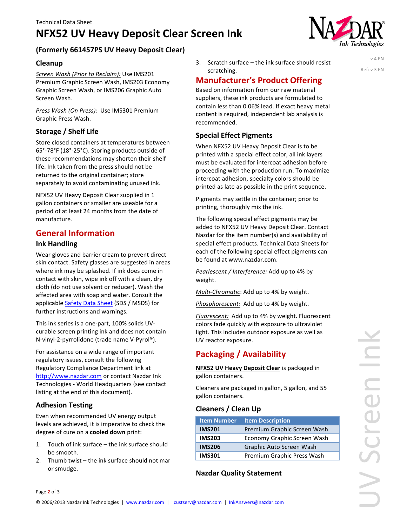# **NFX52 UV Heavy Deposit Clear Screen Ink**



## **(Formerly 661457PS UV Heavy Deposit Clear)**

### **Cleanup**

Screen Wash (Prior to Reclaim): Use IMS201 Premium Graphic Screen Wash, IMS203 Economy Graphic Screen Wash, or IMS206 Graphic Auto Screen Wash. 

*Press Wash (On Press):* Use IMS301 Premium Graphic Press Wash.

### **Storage / Shelf Life**

Store closed containers at temperatures between 65°-78°F (18°-25°C). Storing products outside of these recommendations may shorten their shelf life. Ink taken from the press should not be returned to the original container; store separately to avoid contaminating unused ink.

NFX52 UV Heavy Deposit Clear supplied in 1 gallon containers or smaller are useable for a period of at least 24 months from the date of manufacture. 

## **General Information**

#### **Ink Handling**

Wear gloves and barrier cream to prevent direct skin contact. Safety glasses are suggested in areas where ink may be splashed. If ink does come in contact with skin, wipe ink off with a clean, dry cloth (do not use solvent or reducer). Wash the affected area with soap and water. Consult the applicable Safety Data Sheet (SDS / MSDS) for further instructions and warnings.

This ink series is a one-part, 100% solids UVcurable screen printing ink and does not contain N-vinyl-2-pyrrolidone (trade name V-Pyrol®).

For assistance on a wide range of important regulatory issues, consult the following Regulatory Compliance Department link at [http://www.nazdar.com](http://www.nazdar.com/en-us/RESOURCES-Health-and-Safety-Compliance.aspx) or contact Nazdar Ink Technologies - World Headquarters (see contact listing at the end of this document).

### **Adhesion Testing**

Page 2 of 3

Even when recommended UV energy output levels are achieved, it is imperative to check the degree of cure on a **cooled down** print:

- 1. Touch of ink surface the ink surface should be smooth.
- 2. Thumb twist  $-$  the ink surface should not mar or smudge.

3. Scratch surface  $-$  the ink surface should resist scratching. 

## **Manufacturer's Product Offering**

Based on information from our raw material suppliers, these ink products are formulated to contain less than 0.06% lead. If exact heavy metal content is required, independent lab analysis is recommended.

## **Special Effect Pigments**

When NFX52 UV Heavy Deposit Clear is to be printed with a special effect color, all ink layers must be evaluated for intercoat adhesion before proceeding with the production run. To maximize intercoat adhesion, specialty colors should be printed as late as possible in the print sequence.

Pigments may settle in the container; prior to printing, thoroughly mix the ink.

The following special effect pigments may be added to NFX52 UV Heavy Deposit Clear. Contact Nazdar for the item number(s) and availability of special effect products. Technical Data Sheets for each of the following special effect pigments can be found at www.nazdar.com.

*Pearlescent* / Interference: Add up to 4% by weight.

*Multi-Chromatic*: Add up to 4% by weight.

*Phosphorescent:* Add up to 4% by weight.

Fluorescent: Add up to 4% by weight. Fluorescent colors fade quickly with exposure to ultraviolet light. This includes outdoor exposure as well as UV reactor exposure.

## **Packaging / Availability**

**NFX52 UV Heavy Deposit Clear** is packaged in gallon containers.

Cleaners are packaged in gallon, 5 gallon, and 55 gallon containers.

### **Cleaners / Clean Up**

| <b>Item Number</b> | <b>Item Description</b>     |
|--------------------|-----------------------------|
| <b>IMS201</b>      | Premium Graphic Screen Wash |
| <b>IMS203</b>      | Economy Graphic Screen Wash |
| <b>IMS206</b>      | Graphic Auto Screen Wash    |
| <b>IMS301</b>      | Premium Graphic Press Wash  |

### **Nazdar Quality Statement**

v 4 EN